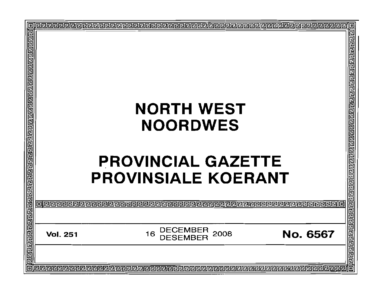| O                         |                 |                                                  | ▣                       |
|---------------------------|-----------------|--------------------------------------------------|-------------------------|
|                           |                 |                                                  | 리민민리 민리민리민민리민리민리리 대단민리민 |
|                           |                 |                                                  |                         |
|                           |                 |                                                  |                         |
|                           |                 |                                                  |                         |
|                           |                 | <b>NORTH WEST</b>                                |                         |
|                           |                 | <b>NOORDWES</b>                                  |                         |
|                           |                 |                                                  |                         |
|                           |                 | <b>PROVINCIAL GAZETTE</b>                        |                         |
|                           |                 | <b>PROVINSIALE KOERANT</b>                       |                         |
|                           |                 |                                                  |                         |
|                           | 旧同              |                                                  |                         |
|                           | <b>Vol. 251</b> | <b>DECEMBER</b><br>2008<br><b>No. 6567</b><br>16 | permental permental     |
|                           |                 |                                                  |                         |
| $\overline{\blacksquare}$ |                 |                                                  | 靣                       |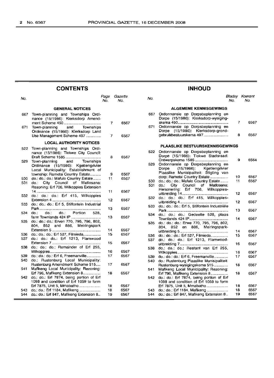# **CONTENTS**

| No.        |                                                                                                                      | Page<br>No.    | Gazette<br>No. |  |
|------------|----------------------------------------------------------------------------------------------------------------------|----------------|----------------|--|
|            | <b>GENERAL NOTICES</b>                                                                                               |                |                |  |
| 667        | Town-planning and Townships Ordi-<br>nance (15/1986): Kierksdorp Amend-                                              | 7              | 6567           |  |
| 671        | and Townships<br>Town-planning<br>Ordinance (15/1986): Klerksdorp Land<br>Use Management Scheme 497                  | $\overline{7}$ | 6567           |  |
|            | <b>LOCAL AUTHORITY NOTICES</b>                                                                                       |                |                |  |
| 522        | Town-planning and Townships Ordi-<br>nance (15/1986): Tlokwe City Council:                                           | 8              | 6567           |  |
| 529        | and Townships<br>Town-planning<br>Ordinance (15/1986): Kgetlengrivier<br>Local Municipality: Establishment of        |                |                |  |
|            | township: Rametsi Country Estate                                                                                     | g              | 6567           |  |
| 530<br>531 | do.: do.: do.: Mafulo Country Estate<br>City Council of Matlosana:<br>do…<br>Rezoning: Erf 706, Wilkoppies Extension | 11             | 6567           |  |
| 532        | do.: do.: do.: Erf 415, Wilkoppies                                                                                   | 11             | 6567           |  |
| 533        | do.: do.: do.: Erf 5, Stilfontein Industrial                                                                         | 12             | 6567           |  |
| 534        | do.:<br>Portion 528.<br>do.:<br>do.:                                                                                 | 13             | 6567           |  |
| 535        | farm Townlands 424 IP<br>do.: do.: do.: Erven 770, 795, 796, 802,<br>804, 852 and 886, Meiringspark                  | 13             | 6567           |  |
|            |                                                                                                                      | 14             | 6567           |  |
| 536<br>537 | do.: do.: do.: Erf 527, Filmieda<br>do.: do.: do.: Erf 1213, Flamwood                                                | 15             | 6567           |  |
| 538        | do.: do.: do.: Remainder of Erf 255,                                                                                 | 15             | 6567           |  |
|            |                                                                                                                      | 16             | 6567           |  |
| 539<br>540 | do.: do.: do.: Erf 6, Freemanville<br>do.: Rustenburg Local Municipality:                                            | 17             | 6567           |  |
| 541        | Rustenburg Amendment Scheme 515<br>Mafikeng Local Municipality: Rezoning:                                            | 17             | 6567           |  |
| 542        | Erf 796, Mafikeng Extension 8<br>do.: do.: Erf 7874, being portion of Erf<br>1098 and condition of Erf 1059 to form  | 18             | 6567           |  |
|            | Erf 7875, Unit 5, Mmabatho                                                                                           | 18             | 6567           |  |
| 543.       | do.: do.: Erf 1184, Mafikeng                                                                                         | 18             | 6567           |  |
| 544        | do.: do.: Erf 847, Mafikeng Extension 8                                                                              | 19             | 6567           |  |

# **INHOUD**

| age<br>No. | Gazette<br>No. | No.        |                                                                                    | Bladsy<br>No. | Koerant<br>No. |
|------------|----------------|------------|------------------------------------------------------------------------------------|---------------|----------------|
|            |                |            | <b>ALGEMENE KENNISGEWINGS</b>                                                      |               |                |
|            |                | 667        | Ordonnansie op Dorpsbeplanning en<br>Dorpe (15/1986): Klerksdorp-wysiging-         |               |                |
| 7          | 6567           | 671        | Ordonnansie op Dorpsbeplanning en<br>Dorpe (15/1986): Klerksdorp-grond-            | 7             | 6567           |
| 7          | 6567           |            | qebruikbestuurskema 497                                                            | 8             | 6567           |
|            |                |            | <b>PLAASLIKE BESTUURSKENNISGEWINGS</b>                                             |               |                |
| 8          | 6567           | 522        | Ordonnansie op Dorpsbeplanning en<br>Dorpe (15/1986): Tlokwe Stadsraad:            |               |                |
|            |                | 529        | Ordonnansie op Dorpsbeplanning en<br>$(15/1986)$ :<br>Dorpe<br>Kgetlengrivier      | 9             | 6564           |
| 9          | 6567           |            | Plaaslike Munisipaliteit: Stigting van                                             |               |                |
| 11         | 6567           | 530        | dorp: Rametsi Country Estate<br>do.: do.: do.: Mafulo Country Estate               | 10<br>11      | 6567<br>6567   |
|            |                | 531        | City<br>Council of Matiosana:<br>do.:                                              |               |                |
| 11         | 6567           |            | Hersonering: Erf 706, Wilkoppies-                                                  | 12            | 6567           |
| 12         | 6567           | 532        | do.: do.: do.: Erf 415, Wilkoppies-                                                | 12            | 6567           |
| 13         | 6567           | 533        | do.: do.: do.: Erf 5, Stilfontein Industriële                                      | 13            | 6567           |
| 13         | 6567           | 534        | do.: do.: do.: Gedeelte 528, plaas                                                 | 14            | 6567           |
|            |                | 535        | do.: do.: do.: Erwe 770, 795, 796, 802,<br>804, 852 en 886, Meiringspark-          |               |                |
| 14         | 6567           |            |                                                                                    | 14            | 6567           |
| 15         | 6567           | 536<br>537 | do.: do.: do.: Erf 527, Filmieda<br>do.: do.: do.: Erf 1213, Flamwood-             | 15            | 6567           |
| 15         | 6567           |            |                                                                                    | 16            | 6567           |
| 16         | 6567           | 538        | do.: do.: do.: Restant van Erf 255,                                                | 16            | 6567           |
| 17         | 6567           | 539        | do.: do.: do.: Erf 6, Freemanville                                                 | 17            | 6567           |
|            |                | 540        | do.: Rustenburg Plaaslike Munisipaliteit:                                          |               |                |
| 17         | 6567           |            | Rustenburg-wysigingskema 515                                                       | 18            | 6567           |
| 18         | 6567           | 541        | Mafikeng Local Municipality: Rezoning:<br>Erf 796, Mafikeng Extension 8            | 18            | 6567           |
|            |                | 542        | do.: do.: Erf 7874, being portion of Erf<br>1098 and condition of Erf 1059 to form |               |                |
| 18         | 6567           |            | Erf 7875, Unit 5, Mmabatho                                                         | 18            | 6567           |
| 18         | 6567           | 543        | do.; do.; Erf 1184, Mafikeng                                                       | 18            | 6567           |
| 19         | 6567           | 544        | do.: do.: Erf 847, Mafikeng Extension 8                                            | 19            | 6567           |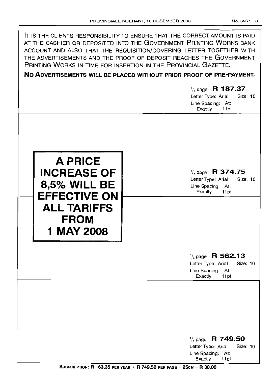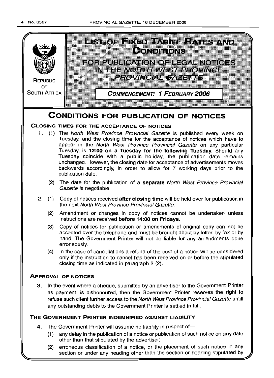

- (1) any delay in the publication of a notice or publication of such notice on any date other than that stipulated by the advertiser;
- (2) erroneous classification of a notice, or the placement of such notice in any section or under any heading other than the section or heading stipulated by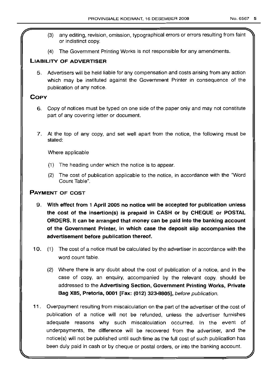- (3) any editing, revision, omission, typographical errors or errors resulting from faint or indistinct copy.
- (4) The Government Printing Works is not responsible for any amendments.

# LIABILITY OF ADVERTISER

5. Advertisers will be held liable for any compensation and costs arising from any action which may be instituted against the Government Printer in consequence of the publication of any notice.

# COpy

- 6. Copy of notices must be typed on one side of the paper only and may not constitute part of any covering letter or document.
- 7. At the top of any copy, and set well apart from the notice, the following must be stated:

Where applicable

- (1) The heading under which the notice is to appear.
- (2) The cost of publication applicable to the notice, in accordance with the "Word Count Table".

# PAYMENT OF COST

- 9. With effect from 1 April 2005 no notice will be accepted for publication unless the cost of the insertion(s) is prepaid in CASH or by CHEQUE or POSTAL ORDERS. It can be arranged that money can be paid into the banking account of the Government Printer, in which case the deposit slip accompanies the advertisement before publication thereof.
- 10. (1) The cost of a notice must be calculated by the advertiser in accordance with the word count table.
	- (2) Where there is any doubt about the cost of publication of a notice, and in the case of copy, an enquiry, accompanied by the relevant copy, should be addressed to the Advertising Section, Government Printing Works, Private IBag X85, Pretoria, 0001 [Fax: (012) 323-8805], before publication.
- 11. Overpayment resulting from miscalculation on the part of the advertiser of the cost of publication of a notice will not be refunded, unless the advertiser furnishes adequate reasons why such miscalculation occurred. In the event of underpayments, the difference will be recovered from the advertiser, and the notice(s) will not be published until such time as the full cost of such publication has been duly paid in cash or by cheque or postal orders, or into the banking account.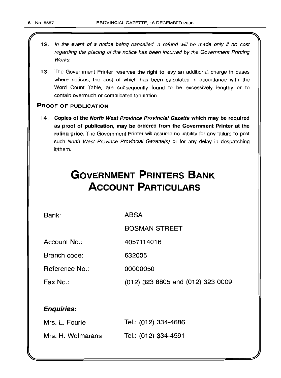- 12. In the event of a notice being cancelled, a refund will be made only if no cost regarding the placing of the notice has been incurred by the Government Printing Works.
- 13. The Government Printer reserves the right to levy an additional charge in cases where notices, the cost of which has been calculated in accordance with the Word Count Table, are subsequently found to be excessively lengthy or to contain overmuch or complicated tabulation.

# PROOF OF PUBLICATION

14. Copies of the North West Province Provincial Gazette which may be required as proof of publication, may be ordered from the Government Printer at the ruling price. The Government Printer will assume no liability for any failure to post such North West Province Provincial Gazette(s) or for any delay in despatching it/them.

# **GOVERNMENT PRINTERS BANK ACCOUNT PARTICULARS**

4057114016

Bank:

ABSA

BOSMAN STREET

Account No.:

Branch code: 632005

Reference No.: 00000050

Fax No.:

(012) 323 8805 and (012) 323 0009

# Enquiries:

| Mrs. L. Fourie    | Tel.: (012) 334-4686 |
|-------------------|----------------------|
| Mrs. H. Wolmarans | Tel.: (012) 334-4591 |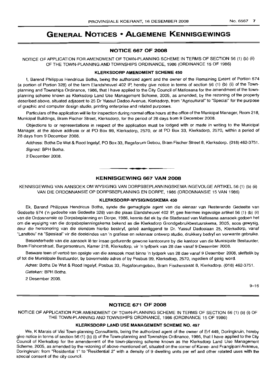# **GENERAL NOTICES • ALGEMENE KENNISGEWINGS**

# **NOTICE 667 OF 2008**

NOTICE OF APPLICATION FOR AMENDMENT OF TOWN-PLANNING SCHEME IN TERMS OF SECTION 56 (1) (b) (ii) OF THE TOWN-PLANNING AND TOWNSHIPS ORDINANCE, 1986 (ORDINANCE 15 OF 1986)

# **KLERKSDORP AMENDMENT SCHEME 450**

I, Barend Philippus Hendricus Botha, being the authorized agent and the owner of the Remaining Extent of Portion 574 (a portion of Portion 328) of the farm Elandsheuvel 402 IP, hereby give notice in terms of section 56 (1) (b) (ii) of the Townplanning and Townships Ordinance, 1986, that I have applied to the City Council of Matlosana for the amendment of the townplanning scheme known as Klerksdorp Land Use Management Scheme, 2005, as amended, by the rezoning of the property described above, situated adjacent to 25 Dr Yussuf Dadoo Avenue, Klerksdorp, from "Agricultural" to "Special" for the purpose of graphic and computer design studio, printing enterprise and related purposes.

Particulars of the application will lie for inspection during normal office hours at the office of the Municipal Manager, Room 218, Municipal Buildings, Bram Fischer Street, Klerksdorp, for the period of 28 days from 9 December 2008.

Objections to or representations in respect of the application must be lodged with or made in writing to the Municipal Manager, at the above address or at PO Box 99, Klerksdorp, 2570, or at PO Box 33, Klerksdorp, 2570, within a period of 28 days from 9 December 2008.

Address: Botha De Wet & Rood Ingelyf, PO Box 33, Regsforum Gebou, Bram Fischer Street 8, Klerksdorp. (018) 462-3751. Signed: BPH Botha.

2 December 2008.

# **KENNISGEWING 667 VAN 2008**

**-.**

KENNISGEWING VAN AANSOEK OM WYSIGING VAN DORPSBEPLANNINGSKEMA INGEVOLGE ARTIKEL 56 (1) (b) (ii) VAN DIE ORDONNANSIE OP DORPSBEPLANNING EN DORPE, 1986 (ORDONNANSIE 15 VAN 1986)

# **KLERKSDORP-WYSIGINGSKEMA 450**

Ek, Barend Philippus Hendricus Botha, synde die gemagtigde agent van die eienaar van Resterende Gedeelte van Gedeelte 574 ('n gedeelte van Gedeelte 328) van die plaas Elandsheuvel 402 IP, gee hiermee ingevolge artikel 56 (1) (b) (ii) van die Ordonnansie op Dorpsbeplanning en Dorpe, 1986, kennis dat ek by die Stadsraad van Matlosana aansoek gedoen het om die wysiging van die dorpsbeplanningskema bekend as die Klerksdorp Grondgebruikbestuurskema, 2005, soos gewysig, deur die hersonering van die eiendom hierbo beskryf, geleë aanliggend te Dr. Yussuf Dadoolaan 25, Klerksdorp, vanaf "Landbou" na "Spesiaal" vir die doeleindes van 'n grafiese en rekenaar ontwerp studio, drukkery bedryf en verwante gebruike.

Besonderhede van die aansoek lê ter insae gedurende gewone kantoorure by die kantoor van die Munisipale Bestuurder, Bram Fishcerstraat, Burgersentrum, Kamer 218, Klerksdorp, vir 'n tydperk van 28 dae vanaf 9 Desember 2008.

Besware teen of vertoe ten opsigte van die aansoek moet binne 'n tydperk van 28 dae vanaf 9 Desember 2008, skriftelik by of tot die Munisipale Bestuurder, by bovermelde adres of by Posbus 99, Klerksdorp, 2570, ingedien of gerig word.

Adres: Botha De Wet & Rood Ingelyf, Posbus 33, Regsforumgebou, Bram Fischerstraat 8, Klerksdorp. (018) 462-3751. Geteken: BPH Botha.

2 Desember 2008.

9-16

# **NOTICE 671 OF 2008**

NOTICE OF APPLICATION FOR AMENDMENT OF TOWN-PLANNING SCHEME IN TERMS OF SECTION 56 (1) (b) (i) OF THE TOWN-PLANNING AND TOWNSHIPS ORDINANCE, 1986 (ORDINANCE 15 OF 1986)

# **KLERKSDORP LAND USE MANAGEMENT SCHEME** NO. 497

We, K Marais of Visi Town-planning Consultants, being the authorized agent of the owner of Ert 449, Doringkruin, hereby give notice in terms of section 56 (1) (b) (i) of the Town-planning and Townships Ordinance, 1986, that I have applied to the City Council of Klerksdorp for the amendement of the town-planning scheme known as the Klerksdorp Land Use Management Scheme, 2005, as amended by the rezoning of above-mentioned ert, situated on the corner of Karee- and Frangipani Avaneue, Doringkruin: from "Residential 1" to "Residential 2" with a density of 9 dwelling units per ert and other related uses with the special consent of the city council.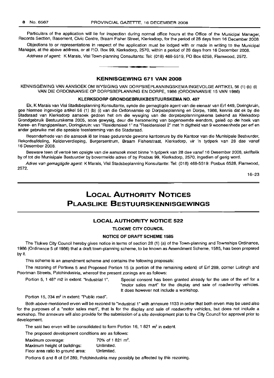Particulars of the application will lie for inspection during normal office hours at the Office of the Municipal Manager, Records Section, Basement, Civic Centre, Braam Fisher Street, Klerksdorp, for the period of 28 days from 16 December 2008.

Objections to or representations in respect of the application must be lodqed with or made in writing to the Municipal Manager, at the above address, or at P.O. Box 99, Klerksdorp, 2570, within a period of 28 days from 16 December 2008.

Address of agent: K Marais, Visi Town-planning Consultants: Tel: (018) 468-5519, PO Box 6258, Flamwood, 2572. .**- .**

# KENNISGEWING 671 VAN 2008

KENNISGEWING VAN AANSOEK OM WYSIGING VAN DORPSBEPLANNINGSKEMA INGEVOLGE ARTIKEL 56 (1) (b) (i) VAN DIE ORDONNANSIE OP DORPSBEPLANNING EN DORPE, 1986 (ORDONNANSIE 15 VAN 1986)

#### KLERKSDORP GRONDGEBRUIKBESTUURSKEMA NO. 497

Ek, K Marais van Visi Stadsbeplanning Konsultante, synde die gemagtigde agent van die eienaar van Erf 449, Doringkruin, gee hiermee ingevolge artikel 56 (1) (b) (i) van die Ordonnansie op Dorpsbeplanning en Dorpe, 1986, kennis dat ek by die Stadsraad van Klerksdorp aansoek gedoen het om die wysiging van die dorpsbeplanningskema bekend as Klerksdorp Grondgebruik Bestuurskema 2005, soos gewysig, deur die hersonering van bogenoemde eiendom, gelee op die hoek van Karee- en Frangipanilaan, Doringkruin: van "Residensieel 1" na "Residensieel 2" met 'n digtheid van 9 wooneenhede per erf en ander gebruike met die spesiale toestemming van die Stadsraad.

Besonderhede van die aansoek lê ter insae gedurende gewone kantoorure by die Kantoor van die Munisipale Bestuurder, Rekordsafdeling, Kelderverdieping, Burgersentrum, Braam Fisherstraat, Klerksdorp, vir 'n tydperk van 28 dae vanaf 16 Desember 2008.

Besware teen of vertoë ten opsigte van die aansoek moet binne 'n tydperk van 28 dae vanaf 16 Desember 2008, skriftelik by of tot die Munisipale Bestuurder by bovermelde adres of by Posbus 99, Klerksdorp, 2570, ingedien of gerig word.

Adres van gemagtigde agent: K Marais, Visi Stadsbeplanning Konsultante: Tel: (018) 468-5519: Posbus 6528, Flamwood, 2572.

16-23

# LOCAL AUTHORITY NOTICES PLAASLIKE BESTUURSKENNISGEWINGS

# LOCAL AUTHORITY NOTICE 522

# TLOKWE CITY COUNCIL

# NOTICE OF DRAFT SCHEME 1585

The Tlokwe City Council hereby gives notice in terms of section 28 (1) (a) of the Town-planning and Townships Ordinance, 1986 (Ordinance 5 of 1986) that a draft town-planning scheme, to be known as Amendment Scheme, 1585, has been prepared by it.

This scheme is an amendment scheme and contains the following proposals:

The rezoning of Portions 5 and Proposed Portion 15 (a portion of the remaining extent) of Erf 289, corner Luitingh and Poortman Streets, Potchindustria, whereof the present zonings are as follows:

Portion 5, 1 487 m2 in extent: "Industrial 1". Special consent has been granted already for the use of the erf for a "motor sales mart" for the display and sale of roadworthy vehicles. It does however not include a workshop.

Portion 15, 334 m<sup>2</sup> in extent: "Public road".

Both above-mentioned erven will be rezoned to "Industrial 1" with annexure 1133 in order that both erven may be used also for the purposes of a "motor sales mart", that is for the display and sale of roadworthy vehicles, but does not include a workshop. The annexure will also provide for the submission of a site development plan to the City Council for approval prior to development.

The said two erven will be consolidated to form Portion 16, 1 821  $m^2$  in extent.

The proposed development conditions are as follows:

| Maximum coverage:                | 70% of 1821 m <sup>2</sup> . |
|----------------------------------|------------------------------|
| Maximum height of buildings:     | Unlimited.                   |
| Floor area ratio to ground area: | Unlimited.                   |

Portions 6 and 8 of Erf 289, Potchindustria may possibly be affected by this rezoning.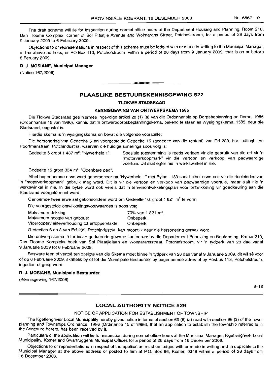The draft scheme will lie for inspection during normal office hours at the Department Housing and Planning, Room 210, Dan Tloome Complex, corner of Sol Plaatjie Avenue and Wolmarans Street, Potchefstroom, for a period of 28 days from 9 January 2009 to 6 February 2009.

Objections to or representations in respect of this scheme must be lodged with or made in writing to the Municipal Manager, at the above address, or PO Box 113, Potchefstroom, within a period of 28 days from 9 January 2009, that is on or before 6 Feruary 2009.

## R. J. **MOSIANE, MUinicipal Manager**

(Notice 167/2008)

# **PLAASLIKE BESTUURSKENNISGEWING 522**

**-**

#### **TLOKWE STADSRAAD**

# **KENNISGEWING VAN ONTWERPSKEMA** 1585

Die Tlokwe Stadsraad gee hiermee ingevolge artikel 28 (1) (a) van die Ordonnansie op Dorpsbeplanning en Dorpe, 1986 (Ordonnansie 15 van 1986), kennis dat 'n ontwerpdorpsbeplanningskema, bekend te staan as Wysigingskema, 1585, deur die Stadsraad, opgestel is.

Hierdie skema is 'n wysigingskema en bevat die volgende voorstelle:

Die hersonering van Gedeelte 5 en voorgestelde Gedeelte 15 (gedeelte van die restant) van Erf 289, h.v. Luitingh- en Poortmanstraat, Potchindustria, waarvan die huidige sonerings soos volg is:

Gedeelte 5 groot 1 487 m<sup>2</sup>: "Nywerheid 1". Spesiale toestemming is reeds verleen vir die gebruik van die erf vir 'n "motorverkoopmark" vir die vertoon en verkoop van padwaardige voertuie. Dit sluit eqter nie 'n werkswinkel in nie.

Gedeelte 15 groot 334 m<sup>2</sup>: "Openbare pad".

Albei bogenoemde erwe word gehersoneer na "Nywerheid 1" met Bylae 1133 sodat albei erwe ook vir die doeleindes van 'n "motorverkoopmark" gebruik mag word. Dit is vir die vertoon en verkoop van padwaardige voertuie, maar sluit nie 'n werkswinkel in nie. In die bylae word ook vereis dat 'n terreinontwikkelingsplan voor ontwikkeling vir goedkeuring aan die Stadsraad voorgelê moet word.

Genoemde twee erwe sal gekonsolideer word om Gedeelte 16, groot 1 821 m<sup>2</sup> te vorm

Die voorgestelde ontwikkelingsvoorwaardes is soos volg:

| Maksimum dekking:                              | 70% van 1 821 m <sup>2</sup> . |
|------------------------------------------------|--------------------------------|
| Maksimum hoogte van geboue:                    | Onbeperk.                      |
| Vioeroppervlakteverhouding tot erfoppervlakte: | Onbeperk.                      |

Gedeeltes 6 en 8 van Erf 289, Potchindustria, kan moontlik deur die hersonering geraak word.

Die ontwerpskema Ie ter insae gedurende gewone kantoorure by die Departement Behuising en Beplanning, Kamer 210, Dan Tloome Kompleks hoek van Sol Plaatjielaan en Wolmaransstraat, Potchefstroom, vir 'n tydperk van 28 dae vanaf 9 Januarie 2009 tot 6 Februarie 2009.

Besware teen of vertoë ten opsigte van die Skema moet binne 'n tydperk van 28 dae vanaf 9 Januarie 2009, dit wil sê voor of op 6 Februarie 2009, skriftelik by of tot die Munisipale Bestuurder by bogenoemde adres of by Posbus 113, Potchefstroom, ingedien of gerig word.

## R. J. **MOSIANE, Munisipale Bestuurder**

(Kennisgewing 167/2008)

9-16

# **LOCAL AUTHORITY NOTICE 529**

#### NOTICE OF APPLICATION FOR ESTABLISHMENT OF TOWNSHIP

The Kgetlengrivier Local Municipality hereby gives notice in terms of section 69 (6) (a) read with section 96 (3) of the Townplanning and Townships Ordinance, 1986 (Ordinance 15 of 1986), that an application to establish the township referred to in the Annexure hereto, has been received by it.

Particulars of the application will lie for inspection during normal office hours at the Municipal Manager, Kgetlengrivier Local Municipality, Koster and Swartruggens Municipal Offices for a period of 28 days from 16 December 2008.

Objections to or representations in respect of the application must be lodged with or made in writing and in duplicate to the Municipal Manager at the above address or posted to him at P.O. Box 66, Koster, 0348 within a period of 28 days from 16 December 2008.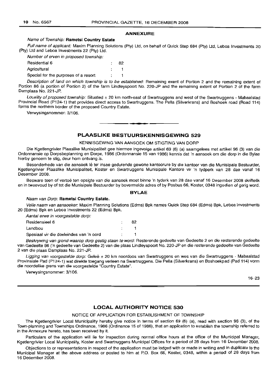#### **ANNEXURE**

### Name of Township: **Rametsi Country Estate**

Full name of applicant: Maxim Planning Solutions (Pty) Ltd, on behalf of Quick Step 684 (Pty) Ltd, Leboa Investments 20 (Pty) Ltd and Leboa Investments 22 (Pty) Ltd.

Number of erven in proposed township:

| Residential 6                        | 82 |
|--------------------------------------|----|
| Agricultural                         |    |
| Special for the purposes of a resort |    |

Description of land on which township is to be established: Remaining exent of Portion 2 and the remaining extent of Portion 86 (a portion of Portion 2) of the farm Lindleyspoort No. 220-JP and the remaining extent of Portion 2 of the farm Damplaas No. 221-JP.

Locality of proposed township: Situated ± 20 km north-east of Swartruggens and west of the Swartruggens - Mabaalstad Provincial Road (P124-1) that provides direct access to Swartruggens. The Pella (Silverkrans) and Boshoek road (Road 114) forms the northern border of the proposed Country Estate.

Verwysingsnommer: 3/106.

# **PLAASLIKE BESTUURSKENNISGEWING 529**

**•**

#### KENNISGEWING VAN AANSOEK OM STIGTING VAN DORP

Die Kgetlengrivier Plaaslike Munisipaliteit gee hiermee ingevolge artikel 69 (6) (a) saamgelees met artikel 96 (3) van die Ordonnansie op Dorpsbeplanning en Dorpe, 1986 (Ordonnansie 15 van 1986) kennis dat 'n aansoek om die dorp in die Bylae hierby genoem te stig, deur hom ontvang is.

Besonderhede van die aansoek lê ter insae gedurende gewone kantoorure by die kantoor van die Munisipale Bestuurder, Kgetlengrivier Plaaslike Munisipaliteit, Koster en Swartruggens Munisipale Kantore vir 'n tydperk van 28 dae vanaf 16 Desember 2008.

Besware teen of vertoë ten opsigte van die aansoek moet binne 'n tyderk van 28 dae vanaf 16 Desember 2008 skriftelik en in tweevoud by of tot die Munisipale Bestuurder by bovermelde adres of by Posbus 66, Koster, 0348 ingedien of gerig word.

#### **BYLAE**

#### Naam van Dorp: **Rametsi Country Estate.**

Volle naam van aansoeker: Maxim Planning Solutions (Edms) Bpk names Quick Step 684 (Edms) Bpk, Leboa Investments 20 (Edms) Bpk en Leboa Investments 22 (Edms) Bpk.

Aantal erwe in voorgestelde dorp:

| Residensieel 6                          | 82 |
|-----------------------------------------|----|
| Landbou                                 |    |
| Spesiaal vir die doeleindes van 'n oord |    |

Beskrywing van grond waarop dorp gestig staan te word: Resterende gedeelte van Gedeelte 2 en die resterende gedeelte van Gedeelte 86 ('n gedeelte van Gedeelte 2) van die plaas Lindleyspoort No. 220-JP en die resterende gedeelte van Gedeelte 2 van die plaas Damplaas No. 221-JP.

Ligging van voorgestelde dorp: Geleë ± 20 km noordoos van Swartruggens en wes van die Swartruggens - Mabaalstad Provinsiale Pad (P124-1) wat direkte toegang verleen na Swartruggens. Die Pella (Silverkrans) en Boshoekpad (Pad 114) vorm die noordelike grens van die voorgestelde "Country Estate".

Verwysingsnommer: 3/106.

16-23

# **LOCAL AUTHORITY NOTICE 530**

#### NOTICE OF APPLICATION FOR ESTABLISHMENT OF TOWNSHIP

The Kgetlengrivier Local Municipality hereby give notice in terms of section 69 (6) (a), read with section 96 (3), of the Town-planning and Townships Ordinance, 1986 (Ordinance 15 of 1986), that an application to establish the township referred to in the Annexure hereto, has been received by it.

Particulars of the application will lie for inspection during normal office hours at the office of the Municipal Manager, Kgetlengrivier Local Municipality, Koster and Swartruggens Municipal Offices for a period of 28 days from 16 December 2008.

Objections to or representations in respect of the application must be lodged with or made in writing and in duplicate to the Municipal Manager at the above address or posted to him at P.O. Box 66, Koster, 0348, within a period of 28 days from 16 December 2008.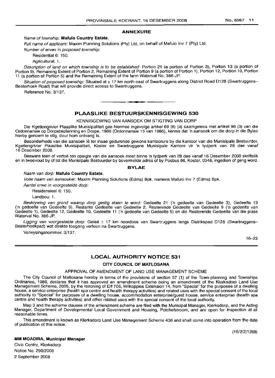#### **ANNEXURE**

#### Name of township: **Matula Country Estate.**

Full name of applicant: Maxim Planning Solutions (Pty) Ltd, on behalf of Mafulo Inv 7 (Pty) Ltd.

Number of erven in proposed township:

Residential 6: 150.

Agricultural: 1.

Description of land on which township is to be established: Portion 21 (a portion of Portion 3), Portion 13 (a portion of Portion 9), Remaining Extent of Portion 2, Remaining Extent of Portion 9 (a portion of Portion 1), Portion 12, Portion 10, Portion 11 (a portion of Portion 5) and the Remaining Extent of the farm Waterval No. 386-JP.

Situation of proposed township: Situated at ± 17 km north-east of Swartruggens along District Road D128 (Swartruggens-Besterhoek Road) that will provide direct access to Swartruggens.

Reference No. 3/137.

# **PLAASLIKE BESTUURSKENNISGEWING 530**

**•**

KENNISGEWING VAN AANSOEK OM STIGTING VAN DORP

Die Kgetlengrivier Plaaslike Munisipaliteit gee hiermee ingevolge artikel 69 (6) (a) saamgelees met artikel 96 (3) van die Ordonnansie op Dorpsbeplanning en Dorpe, 1986 (Ordonnansie 15 van 1986), kennis dat 'n aansoek om die dorp in die Bylae hierby genoem te stig, deur hom ontvang is.

Besonderhede van die aansoek lê ter insae gedurende gewone kantoorure by die kantoor van die Munisipale Bestuurder, Kgetlengrivier Plaaslike Munisipaliteit, Koster en Swartruggens Munisipale Kantore vir 'n tydperk van 28 dae vanaf 16 Desember 2008.

Besware teen of vertoe ten opsigte van die aansoek moet binne 'n tydperk van 28 dae vanaf 16 Desember 2008 skriftelik en in tweevoud by of tot die Munisipale Bestuurder by bovermelde adres of by Posbus 66, Koster, 0348, ingedien of gerig word.

#### **BYLAE**

Naam van dorp: **Matula Country Estate.**

Volle naam van aansoeker: Maxim Planning Solutions (Edms) Bpk, namens Mafulo Inv 7 (Edms) Bpk.

Aantal erwe in voorgestelde dorp:

Residensieel 6: 150.

Landbou: 1.

Beskrywing van grond waarop dorp gestig staan te word: Gedeelte 21 ('n gedeelte van Gedeelte 3), Gedeelte 13 Cn gedeelte van Gedeelte 9), Restante Gedeelte van Gedeelte 2, Restemnde Gedeelte van Gedeelte 9 ('n gedeelte van Gedeelte 1), Gedeelte 12, Gedeelte 10, Gedeelte 11 ('n gedeelte van Gedeelte 5) en die Resterende Gedeelte van die plaas Waterval No. 386-JP.

Ligging van voorgestelde dorp: Geleë ± 17 km noordoos van Swartruggens langs Distrikspad D128 (Swartruggens-Besterhoekpad) wat direkte toegang verleen na Swartruggens.

Verwysingsnommer: 3/137.

16-23

# **LOCAL AUTHORITY NOTICE 531**

# **CITY COUNCIL OF MATLOSANA**

#### APPROVAL OF AMENDMENT OF LAND USE MANAGEMENT SCHEME

The City Council of Matlosana hereby in terms of the provisions of section 57 (1) of the Town-planning and Townships Ordinance, 1986, declares that it has approved an amendment scheme being an amendment of the Klerksdorp Land Use Management Scheme, 2005, by the rezoning of Erf 706, Wilkoppies Extension 14, from "Special" for the purposes of a dwelling house, a service enterprise (health spa centre and health therapy activities) and related uses with the special consent of the local authority to "Special" for purposes of a dwelling house, accommodation enterprise/quest house, service enterprise (health spa centre and health therapy activities) and other related uses with the special consent of the local authority.

Map 3 and the scheme clauses of the amendment scheme are filed with the Municipal Manager, Klerksdorp, and the Acting Manager, Department of Developmental Local Government and Housing, Potchefstroom, and are open for inspection at all reasonable times.

This amendment is known as Klerksdorp Land Use Management Scheme 436 and shall come into operation from the date of publication of this notice.

(16/2/2/1269)

# **MM MOADIRA, Municipal Manager**

Civic Centre, Klerksdorp Notice No. 290/2008 2 September 2008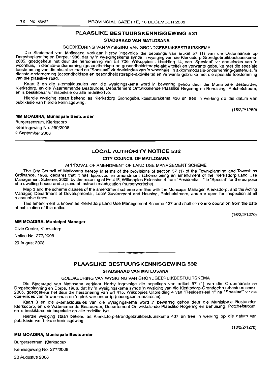#### **STADSRAAD VAN MATLOSANA**

# GOEDKEURING VAN WYSIGING VAN GRONDGEBRUIKBESTUURSKEMA

Die Stadsraad van Matlosana verklaar hierby ingevolge die bepalings van artikel 57 (1) van die Ordonnansie op Dorpsbeplanning en Dorpe, 1986, dat hy 'n wysigingskema synde 'n wysiging van die Klerksdorp Grondgebruikbestuurskema, 2005, goedgekeur het deur die hersonering van Erf 706, Wilkoppies Uitbreiding 14, van "Spesiaal" vir doeleindes van 'n woonhuis, 'n dienste-onderneming (gesondheidspa en gesondheidsterapie-aktiwiteite) en verwante gebruike met die spesiale toestemming van die plaaslike raad na "Spesiaal" vir doeleindes van 'n woonhuis, 'n akkommodasie-onderneming/gastehuis, 'n dienste-onderneming (gesondheidspa en gesondheidsterapie-aktiwiteite) en verwante gebruike met die spesiale toestemming van die plaaslike raad.

Kaart 3 en die skemaklousules van die wysigingskema word in bewaring gehou deur die Munisipale Bestuurder, Klerksdorp, en die Waarnemende Bestuurder, Departement Ontwikkelende Plaaslike Regering en Behuising, Potchefstroom, en is beskikbaar vir inspeksie op aile redelike tye.

Hierdie wysiging staan bekend as Klerksdorp Grondgebruikbestuurskema 436 en tree in werking op die datum van publikasie van hierdie kennisgewing.

(16/2/2/1269)

#### **MM MOADIRA, Munisipale Bestuurder**

Burgersentrum, Klerksdorp Kennisgewing No. 290/2008 2 September 2008

# **LOCAL AUTHORITY NOTICE 532**

# **CITY COUNCIL OF MATLOSANA**

#### APPROVAL **OF** AMENDMENT **OF** LAND USE MANAGEMENT SCHEME

The City Council of Matlosana hereby in terms of the provisions of section 57 (1) of the Town-planning and Townships Ordinance, 1986, declares that it has approved an amendment scheme being an amendment of the Klerksdorp Land Use Management Scheme, 2005, by the rezoning of Erf 415, Wilkoppies Extension 4 from "Residential 1" to "Special" for the purpose of a dwelling house and a place of instruction/education (nursery/créche).

Map 3 and the scheme clauses of the amendment scheme are filed with the Municipal Manager, Klerksdorp, and the Acting Manager, Department of Developmental, Local Government and Housing, Potchefstroom, and are open for inspection at all reasonable times.

This amendment is known as Klerksdorp Land Use Management Scheme 437 and shall come into operation from the date of publication of this notice.

(16/2/2/1270)

#### **MM MOADIRA, Municipal Manager**

Civic Centre, Klerksdorp

Notice No. 277/2008

20 August 2008

#### **PLAASLIKE BESTUURSKENNISGEWING 532**

.**-.**

#### **STADSRAAD VAN MATLOSANA**

#### GOEDKELIRING VAN WYSIGING VAN GRONDGEBRUIKBESTUURSKEMA

Die Stadsraad van Matlosana verklaar hierby ingevolge die bepalings van artikel 57 (1) van die Ordonnansie op Dorpsbeplanning en Darpe, 1986, dat hy 'n wysigingskema synde 'n wysiging van die Klerksdorp-Grondgebruikbestuurskema, 2005, goedgekeur het deur die hersonering van Erf 415, Wilkoppies Uitbreiding 4 van "Residensieel 1" na "Spesiaal" vir die doeleindes van 'n woonhuis en 'n plek van onderrig (nasorgsentrum/créche).

Kaart 3 en die skemaklousules van die wysigingskema word in bewaring gehou deur die Munisipale Bestuurder, Klerksdorp, en die Waarnemende Bestuurder, Departement Ontwikkelende Plaaslike Regering en Behuising, Potchefstroom, en is beskikbaar vir inspeksie op aile redelike tye.

Hierdie wysiging staan bekend as Klerksdorp-Grondgebruikbestuurskema 437 en tree in werking op die datum van publikasie van hierdie kennisgewing.

(16/2/2/1270)

#### **MM MOADIRA, Munisipale Bestuurder**

Burgersentrum, Klerksdorp

Kennisgewing No. 277/2008

20 Augustus 2008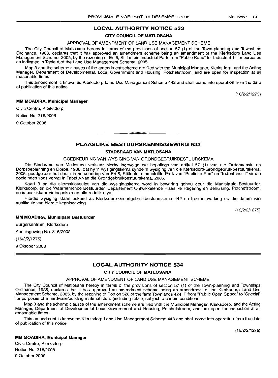# **LOCAL AUTHORITY NOTICE 533**

# **CITY COUNCIL OF MATLOSANA**

# APPROVAL OF AMENDMENT OF LAND USE MANAGEMENT SCHEME

The City Council of Matlosana hereby in terms of the provisions of section 57 (1) of the Town-planning and Townships Ordinance, 1986, declares that it has approved an amendment scheme beinq an amendment of the Klerksdorp Land Use Management Scheme, 2005, by the rezoning of Erf 5, Stilfontein Industrial Park from "Public Road" to "Industrial 1" for purposes as indicated in Table A of the Land Use Management Scheme, 2005.

Map 3 and the scheme clauses of the amendment scheme are filed with the Municipal Manager, Klerksdorp, and the Acting Manager, Department of Developmental, Local Government and Housing, Potchefstroom, and are open for inspection at all reasonable times.

This amendment is known as Klerksdorp Land Use Management Scheme 442 and shall come into operation from the date of publication of this notice.

(16/2/2/1275)

#### **MM MOADIRA, Municipal Manager**

Civic Centre, Klerksdorp

Notice No. 316/2008

9 October 2008

# **PLAASLIKE BESTUURSKENNISGEWING 533**

**•**

#### **STADSRAAD VAN MATLOSAINA**

# GOEDKEURING VAN WYSIGING VAN GRONDGEBRUIKBESTUURSKEMA

Die Stadsraad van Matlosana verklaar hierby ingevolge die bepalinqs van artikel 57 (1) van die Ordonnansie op Dorpsbeplanning en Dorpe, 1986, dat hy 'n wysigingskema synde 'n wysiging van die Klerksdorp-Grondgebruikbestuurskema, 2005, goedgekeur het deur die hersonering van Erf 5, Stilfontein lndustriele Park van "Publieke Pad" na "Industrieel 1" vir die doeleindes soos vervat in Tabel A van die Grondgebruikbestuurskema, 2005.

Kaart 3 en die skemaklousules van die wysigingskema word in bewaring gehou deur die Munisipale Bestuurder, Klerksdorp, en die Waarnemende Bestuurder, Departement Ontwikkelende Plaaslike Regering en Behuising, Potchefstroom, en is beskikbaar vir inspeksie op aile redelike tye.

Hierdie wysiging staan bekend as Klerksdorp-Grondgebruikbestuurskema 442 en tree in werking op die datum van publikasie van hierdie kennisgewing.

(16/2/2/1275)

#### **MM MOADIRA, Munisipale Bestuurder**

Burgersentrum, Klerksdorp

Kennisgewing No. 316/2008

(16/2/2/1275)

9 Oktober 2008

# **LOCAL AUTHORITY NOTICE 534**

# **CITY COUNCIL OF MATLOSAINA**

#### APPROVAL OF AMENDMENT OF LAND USE MANAGEMENT SCHEME

The City Council of Matlosana hereby in terms of the provisions of section 57 (1) of the Town-planning and Townships Ordinance, 1986, declares that it has approved an amendment scheme beinq an amendment of the Klerksdorp Land Use Management Scheme, 2005, by the rezoning of Portion 528 of the farm Townlands 424 IP from "Public Open Space" to "Special" for purposes of a hardware/building material store (including retail), subject to certain conditions.

Map 3 and the scheme clauses of the amendment scheme are filed with the Municipal Manager, Klerksdorp, and the Acting Manager, Department of Developmental Local Government and Housing, Potchefstroom, and are open for inspection at all reasonable times.

This amendment is known as Klerksdorp Land Use Management Scheme 443 and shall come into operation from the date of publication of this notice,

#### (16/2/2/1276)

# **MM MOADIRA, Municiipal Manager**

Civic Centre, Klerksdorp Notice No. 318/2008 9 October 2008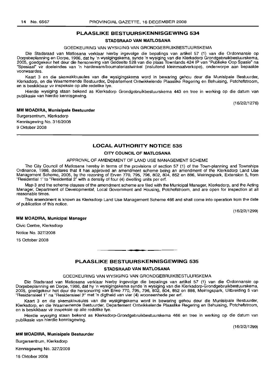#### **STADSRAAD VAN MATLOSANA**

#### GOEDKEURING VAN WYSIGING VAN GRONDGEBRUIKBESTUURSKEMA

Die Stadsraad van Matlosana verklaar hierby ingevolge die bepalings van artikel 57 (1) van die Ordonnansie op Dorpsbeplanning en Dorpe, 1986, dat hy 'n wysigingskema, synde 'n wysiging van die Klerksdorp Grondgebruikbestuurskema, 2005, goedgekeur het deur die hersonering van Gedeelte 528 van die plaas Townlands 424 IP van "Publieke Oop Spasie" na "Spesiaal" vir doeleindes van 'n hardeware/boumateriaalwinkel (insluitend kleinmaatverkope), onderworpe aan bepaalde voorwaardes.

Kaart 3 en die skemaklousules van die wysigingskema word in bewaring gehou deur die Munisipale Bestuurder, Klerksdorp, en die Waarnemende Bestuurder, Departement Ontwikkelende Plaaslike Regering en Behuising, Potchefstroom, en is beskikbaar vir inspeksie op aile redelike tye.

Hierdie wysiging staan bekend as Klerksdorp Grondgebruikbestuurskema 443 en tree in werking op die datum van publikasie van hierdie kennisgewing.

(16/2/2/1276)

#### **MM MOADIRA, Munisipale Bestuurder**

Burgersentrum, Klerksdorp Kennisgewing No. 316/2008 9 Oktober 2008

# **LOCAL AUTHORITY NOTICE 535**

# **CITY COUNCIL OF MATLOSANA**

# APPROVAL OF AMENDMENT OF LAND USE MANAGEMENT SCHEME

The City Council of Matlosana hereby in terms of the provisions of section 57 (1) of the Town-planning and Townships Ordinance, 1986, declares that it has approved an amendment scheme being an amendment of the Klerksdorp Land Use Management Scheme, 2005, by the rezoning of Erven 770, 795, 796, 802, 804, 852 en 886, Meiringspark, Extension 5, from "Residential l' to "Residential 2" with a density of four (4) dwelling units per erf.

Map 3 and the scheme clauses of the amendment scheme are filed with the Municipal Manager, Klerksdorp, and the Acting Manager, Department of Developmental, Local Government and Housing, Potchefstroom, and are open for inspection at all reasonable times.

This amendment is known as Klerksdorp Land Use Management Scheme 466 and shall come into operation from the date of publication of this notice.

(16/2/2/1299)

#### **MM MOADIRA, Municipal Manager**

Civic Centre, Klerksdorp

Notice No. 327/2008

15 October 2008

#### **PLAASLIKE BESTUURSKENNISGEWING 535**

**• •**

#### **STADSRAAD VAN MATLOSANA**

#### GOEDKEURING VAN WYSIGING VAN GRONDGEBRUIKBESTUURSKEMA

Die Stadsraad van Matlosana verklaar hierby ingevolge die bepalings van artikel 57 (1) van die Ordonnansie op Dorpsbeplanning en Dorpe, 1986, dat hy 'n wysigingskema synde 'n wysiging van die Klerksdorp-Grondgebruikbestuurskema, 2005, goedgekeur het deur die hersonering van Erwe 770, 795, 796, 802, 804, 852 en 886, Meiringspark, Uitbreiding 5 van "Residensieel 1" na "Residensieel 2" met 'n digtheid van vier (4) wooneenhede per erf.

Kaart 3 en die skemaklousules van die wysigingskema word in bewaring gehou deur die Munisipale Bestuurder, Klerksdorp, en die Waarnemende Bestuurder, Departement Ontwikkelende Plaaslike Regering en Behuising, Potchefstroom, en is beskikbaar vir inspeksie op aile redelike tye.

Hierdie wysiging staan bekend as Klerksdorp-Grondgebruikbestuurskema 466 en tree in werking op die datum van publikasie van hierdie kennisgewing.

(16/2/2/1299)

#### **MM MOADIRA, Munislpale Bestuurder**

Burgersentrum, Klerksdorp

Kennisgewing No. 327/2008

15 Oktober 2008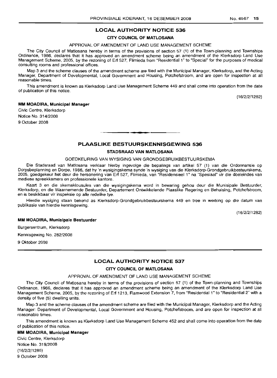# **LOCAL AUTHORITY NOTICE 536**

# **CITY COUNCIL OF MATLOSANA**

## APPROVAL OF AMENDMENT OF LAND USE MANAGEMENT SCHEME

The City Council of Matlosana hereby in terms of the provisions of section 57 (1) of the Town-planning and Townships Ordinance, 1986, declares that it has approved an amendment scheme being an amendment of the Klerksdorp Land Use Management Scheme, 2005, by the rezoning of Erf 527, Flimieda from "Residential 1" to "Special" for the purposes of medical consulting rooms and professional offices.

Map 3 and the scheme clauses of the amendment scheme are filed with the Municipal Manager, Klerksdorp, and the Acting Manager, Department of Developmental, Local Government and Housing, Potchefstroom, and are open for inspection at all reasonable times.

This amendment is known as Klerksdorp Land Use Management Scheme 449 and shall come into operation from the date of publication of this notice.

(16/2/2/1282)

#### **MM MOADIRA, Municipal Manager**

Civic Centre, Klerksdorp Notice No. 314/2008 9 October 2008

# **PLAASLIKE BESTUURSKENNISGEWING 536**

**. -**

#### **STADSRAAD VAN MATLOSANA**

## GOEDKEURING VAN WYSIGING VAN GRONDGEBRUIKBESTUURSKEMA

Die Stadsraad van Matlosana verklaar hierby ingevolge die bepalings van artikel 57 (1) van die Ordonnansie op Dorpsbeplanning en Dorpe, 1986, dat hy 'n wysigingskema synde 'n wysiging van die Klerksdorp-Grondgebruikbestuurskema, 2005, goedgekeur het deur die hersonering van Erf 527, Flimieda, van "Residensieel 1" na "Spesiaal" vir die doeleindes van mediese spreekkamers en professionele kantore.

Kaart 3 en die skemaklousules van die wysigingskema word in bewaring gehou deur die Munisipale Bestuurder, Klerksdorp, en die Waarnemende Bestuurder, Departement Ontwikkelende Plaaslike Regering en Behuising, Potchefstroom, en is beskikbaar vir inspeksie op aile redelike tye.

Hierdie wysiging staan bekend as Klerksdorp-Grondgebruikbestuurskema 449 en tree in werking op die datum van publikasie van hierdie kennisgewing.

(16/2/2/1282)

#### **MM MOADIRA, Munisipale Bestuurder**

Burgersentrum, Klerksdorp

Kennisgewing No. 282/2008

9 Oktober 2008

# **LOCAL AUTHORITY NOTICE 537**

#### **CITY COUNCIL OF MATLOSANA**

# APPROVAL OF AMENDMENT OF LAND USE MANAGEMENT SCHEME

The City Council of Matlosana hereby in terms of the provisions of section 57 (1) of the Town-planning and Townships Ordinance, 1986, declares that it has approved an amendment scheme being an amendment of the Klerksdorp Land Use Management Scheme, 2005, by the rezoning of Erf 1213, Flamwood Extension 7, from "Residential 1" to "Residential 2" with a density of five (5) dwelling units.

Map 3 and the scheme clauses of the amendment scheme are filed with the Municipal Manager, Klerksdorp and the Acting Manager: Department of Developmental, Local Government and Housing, Potchefstroom, and are open for inspection at all reasonable times.

This amendment is known as Klerksdorp Land Use Management Scheme 452 and shall come into operation from the date of publication of this notice.

#### **MM MOADIRA, Municipal Manager**

Civic Centre, Klerksdorp Notice No. 319/2008 (16/2/2/1285) 9 October 2008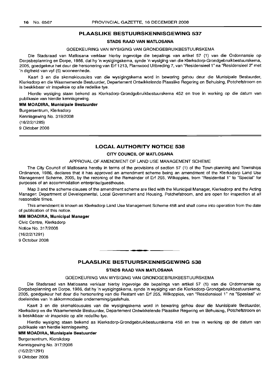# **STADS RAAD VAN MATLOSANA**

#### GOEDKEURING VAN WYSIGING VAN GRONDGEBRUIKBESTUURSKEMA

Die Stadsraad van Matlosana verklaar hierby ingevolge die bepalings van artikel 57 (1) van die Ordonnansie op Dorpsbeplanning en Dorpe, 1986, dat hy 'n wysigingskema, synde 'n wysiging van die Klerksdorp-Grondgebruikbestuurskema, 2005, goedgekeur het deur die hersonering van Erf 1213, Flamwood Uitbreding 7, van "ResidensieeI1" na "Residensieel 2" met 'n digtheid van vyf (5) wooneenhede.

Kaart 3 en die skemaklousules van die wysigingskema word in bewaring gehou deur die Munisipale Bestuurder, Klerksdorp en die Waarnemende Bestuurder, Departement Ontwikkelende Plaaslike Regering en Behuising, Potchefstroom en is beskikbaar vir inspeksie op aile redelike tye.

Hierdie wysiging staan bekend as Klerksdorp-Grondgebruikbestuurskema 452 en tree in werking op die datum van publikasie van hierdie kennisgewing.

#### **MM MOADIRA, Munisipale Bestuurder**

Burgersentrum, Klerksdorp Kennisgewing No. 319/2008 (16/2/2/1285)

9 Oktober 2008

# **LOCAL AUTHORITY NOTICE 538**

# **CITY COUNCIL OF MArLOSANA**

#### APPROVAL OF AMENDMENT OF LAND USE MANAGEMENT SCHEME

The City Council of Matlosana hereby in terms of the provisions of section 57 (1) of the Town-planning and Townships Ordinance, 1986, declares that it has approved an amendment scheme being an amendment of the Klerksdorp Land Use Management Scheme, 2005, by the rezoning of the Remainder of Erf 255, Wilkoppies, from "Residential 1" to "Special" for purposes of an accommodation enterprise/guesthouse.

Map 3 and the scheme clauses of the amendment scheme are filed with the Municipal Manager, Klerksdorp and the Acting Manager: Department of Developmental, Local Government and Housing, Potchefstroom, and are open for inspection at all reasonable times.

This amendment is known as Klerksdorp Land Use Management Scheme 458 and shall come into operation from the date of publication of this notice.

# **MM MOADIRA, Municipal Manager**

Civic Centre, Klerksdorp Notice No. 317/2008 (16/2/2/1291 ) 9 October 2008

# **PLAASLIKE BESTUURSKENNISGEWING 538**

.**- .**

# **STADS RAAD VAN MATLOSANA**

#### GOEDKEURING VAN WYSIGING VAN GRONDGEBRLlIKBESTUURSKEMA

Die Stadsraad van Matlosana verklaar hierby ingevolge die bepalings van artikel 57 (1) van die Ordonnansie op Dorpsbeplanning en Dorpe, 1986, dat hy 'n wysigingskema, synde 'n wysiging van die Klerksdorp-Grondgebruikbestuurskema, 2005, goedgekeur het deur die hersonering van die Restant van Erf 255, Wilkoppies, van "Residensieel 1" na "Spesiaal" vir doeleindes van 'n akkommodasie onderneming/gastehuis.

Kaart 3 en die skemaklousules van die wysigingskema word in bewaring gehou deur die Munisipale Bestuurder, Klerksdorp en die Waarnemende Bestuurder, Departement Ontwikkelende Plaaslike Regering en Behuising, Potchefstroom en is beskikbaar vir inspeksie op aile redelike tye.

Hierdie wysiging staan bekend as Klerksdorp-Grondgebruikbestuurskema 458 en tree in werking op die datum van publikasie van hierdie kennisgewing.

## **MM MOADIRA, Munisipale Bestuurder**

Burgersentrum, Klerskdorp Kennisgewing No. 317/2008 (16/2/2/1291) 9 Oktober 2008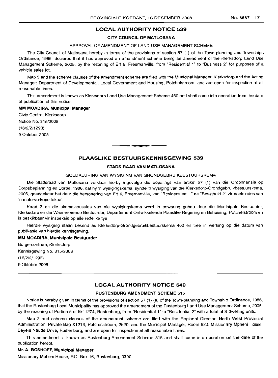# **LOCAL AUTHORITY NOTICE 539**

## **CITY COUNCIL OF MATLOSANA**

#### APPROVAL OF AMENDMENT OF LAND USE MANAGEMENT SCHEME

The City Council of Matlosana hereby in terms of the provisions of section 57 (1) of the Town-planning and Townships Ordinance, 1986, declares that it has approved an amendment scheme being an amendment of the Klerksdorp Land Use Management Scheme, 2005, by the rezoning of Erf 6, Freemanville, from "Residential 1" to "Business 2" for purposes of a vehicle sales lot.

Map 3 and the scheme clauses of the amendment scheme are filed with the Municipal Manager, Klerksdorp and the Acting Manager: Departmenl of Developmental, Local Government and Housing, Potchefstroom, and are open for inspection at all reasonable times.

This amendment is known as Klerksdorp Land Use Management Scheme 460 and shall come into operation from the date of publication of this notice.

# **MM MOADIRA, Municipal Manager**

Civic Centre, Klerksdorp Notice No. 315/2008 (16/2/2/1293) 9 October 2008

# **PLAASLIKE BESTUURSKENNISGEWING 539**

.**- .**

# **STADS RAAD VAN MATLOSANA**

# GOEDKEURING VAN WYSIGING VAN GRONDGEBRUIKBESTUURSKEMA

Die Stadsraad van Matlosana verklaar hierby ingevolge die bepalings van artikel 57 (1) van die Ordonnansie op Dorpsbeplanning en Dorpe, 1986, dat hy 'n wysigingskema, synde 'n wysiging van die Klerksdorp-Grondgebruikbestuurskema, 2005, goedgekeur het deur die hersonering van Erf 6, Freemanville, van "Residensieel 1" na "Besigheid 2" vir doeleindes van 'n motorverkope lokaal.

Kaart 3 en die skemaklousules van die wysigingskema word in bewaring gehou deur die Munisipale Bestuurder, Klerksdorp en die Waarnemende Bestuurder, Departement Ontwikkelende Plaaslike Regering en Behuising, Potchefstroom en is beskikbaar vir inspeksie op aile redelike tye.

Hierdie wysiging staan bekend as Klerksdorp-Grondgebruikbestuurskema 460 en tree in werking op die datum van publikasie van hierdie kennisgewing.

# **MM MOADIRA, Munisipale Bestuurder**

Burgersentrum, Klerksdorp Kennisgewing No. 315/2008 (16/2/2/1293) 9 Oktober 2008

# **LOCAL AUTHORITY NOTICE 540**

#### **RUSTENBURG AMENDMENT SCHEME 515**

Notice is hereby given in terms of the provisions of section 57 (1) (a) of the Town-planning and Township Ordinance, 1986, that the Rustenburg Local Municipality has approved the amendment of the Rustenburg Land Use Management Scheme, 2005, by the rezoning of Portion 5 of Erf 1274, Rustenburg, from "Residential 1" to "Residential 2" with a total of 3 dwelling units.

Map 3 and scheme clauses of the amendment scheme are filed with the Regional Director: North West Provincial Administration, Private Bag X1213, Potchefstroom, 2520, and the Municipal Manager, Room 620, Missionary Mpheni House, Beyers Naude Drive, Rustenburg, and are open for inspection at all reasonable times.

This amendment is known as Rustenburg Amendment Scheme 515 and shall come into operation on the date of the publication hereof.

# **Mr. A. BOSHOFF, Municipal Manager**

Missionary Mpheni House, P.O. Box 16, Rustenburg, 0300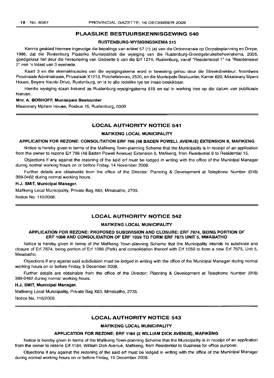# RUSTENBURG-WYSIGINGSKEMA 515

Kennis geskied hiermee ingevolge die bepalings van artikel 57 (1) (a) van die Ordonnansie op Dorpsbeplanning en Dorpe, 1986, dat die Rustenburg Plaaslike Munisipaliteit die wysiging van die Rustenburg-Grondgebruiksbeheerskema, 2005, goedgekeur het deur die hersonering van Gedeelte 5 van die Erf 1274, Rustenburg, vanaf "Residensieel 1" na "Residensieel 2" met 'n totaal van 3 eenhede.

Kaart 3 en die skemaklousules van die wysigingskema word in bewaring gehou deur die Streekdirekteur: Noordwes Provinsiale Administrasie, Privaatsak X1213, Potchefstroom, 2520, en die Munisipale Bestuurder, Kamer 620, Missionary Mpeni House, Beyers Naude Drive, Rustenburg, en is te aile redelike tye ter insae beskikbaar.

Hierdie wysiging staan bekend as Rustenburg-wysigingskema 515 en sal in werking tree op die datum van publikasie hiervan.

#### Mnr. A. BOSHOFF, Munisipale Bestuurder

Missionary Mpheni House, Posbus 16, Rustenburg, 0300

# LOCAL AUTHORITY NOTICE 541

# MAFIKENG LOCAL MUNICIPALITY

### APPLICATION FOR REZONE: CONSOLITATION ERF 796 (48 BADEN POWELL AVENUE) EXTENSION 8, MAFIKENG

Notice is hereby given in terms of the Mafikeng Town-planning Scheme that the Municipality is in receipt of an application from the owner to rezone Erf 796 (48 Baden Powell Avenue) Extension 8, Mafikeng, from Residential 6 to Residential 15.

Objections if any against the rezoning of the said erf must be lodged in writing with the office of the Municipal Manager during normal working hours on or before Friday, 14 November 2008.

Further details are obtainable from the office of the Director: Planning & Development at Telephone Number (018) 389-0462 during normal working hours.

#### H.J. SMIT, Municipal Manager.

Mafikeng Local Municipality, Private Bag X63, Mmabatho, 2735.

Notice No. 110/2008.

# LOCAL AUTHORITY NOTICE 542

#### MAFIKENG LOCAL MUNICIPALITY

# APPLICATION FOR REZONE: PROPOSED SUBDIVISION AND CLOSURE: ERF 7874, BEING PORTION OF ERF 1098 AND CONSOLIDATION OF ERF 1059 TO FORM ERF 7875 UNIT 5, MMABATHO

Notice is hereby given in terms of the Mafikeng Town-planning Scheme that the Municipality intends to subdivide and closure of Erf 7874, being portion of Erf 1098 (Park) and consolidation thereof with Erf 1059 to form a new Erf 7875, Unit 5, Mmabatho.

Objections if any against said subdivision must be lodged in writing with the office of the Municipal Manager during normal working hours on or before Friday, 5 December 2008.

Further details are obtainable from the office of the Director: Planning & Development at Telephone Number (018) 389-0462 during normal working hours.

# H.J. SMIT, Municipal Manager.

Mafikeng Local Municipality, Private Bag X63, Mmabatho, 2735. Notice No. 116/2008.

# LOCAL AUTHORITY NOTICE 543

# MAFIKENG LOCAL MUNICIPALITY

# APPLICATION FOR REZONE: ERF 1184 (2 WILLIAM DICK AVENUE), MAFIKENG

Notice is hereby given in terms of the Mafikeng Town-planning Scheme that the Municipality is in receipt of an application from the owner to rezone Erf 1184, William Dick Avenue, Mafikeng; from Residential to Business for office purpose.

Objections if any against the rezoning of the said erf must be lodged in writing with the office of the Municipal Manager during normal working hours on or before Friday, 19 December 2008.